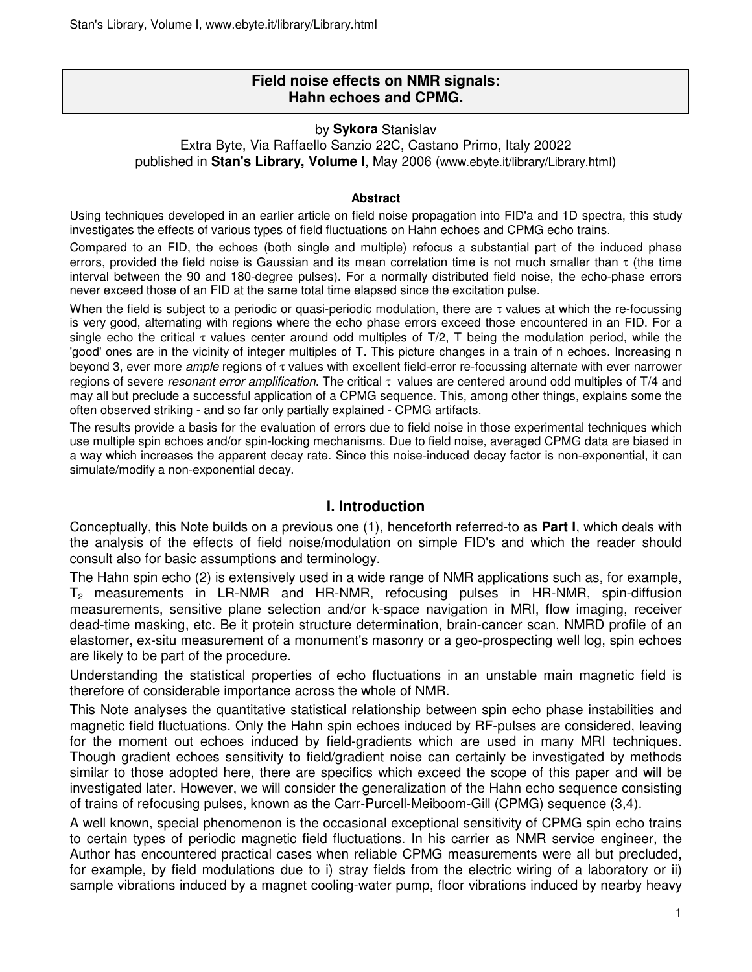# **Field noise effects on NMR signals: Hahn echoes and CPMG.**

### by **Sykora** Stanislav

Extra Byte, Via Raffaello Sanzio 22C, Castano Primo, Italy 20022

published in **Stan's Library, Volume I**, May 2006 (www.ebyte.it/library/Library.html)

#### **Abstract**

Using techniques developed in an earlier article on field noise propagation into FID'a and 1D spectra, this study investigates the effects of various types of field fluctuations on Hahn echoes and CPMG echo trains.

Compared to an FID, the echoes (both single and multiple) refocus a substantial part of the induced phase errors, provided the field noise is Gaussian and its mean correlation time is not much smaller than  $\tau$  (the time interval between the 90 and 180-degree pulses). For a normally distributed field noise, the echo-phase errors never exceed those of an FID at the same total time elapsed since the excitation pulse.

When the field is subject to a periodic or quasi-periodic modulation, there are  $\tau$  values at which the re-focussing is very good, alternating with regions where the echo phase errors exceed those encountered in an FID. For a single echo the critical  $\tau$  values center around odd multiples of T/2, T being the modulation period, while the 'good' ones are in the vicinity of integer multiples of T. This picture changes in a train of n echoes. Increasing n beyond 3, ever more ample regions of τ values with excellent field-error re-focussing alternate with ever narrower regions of severe *resonant error amplification*. The critical τ values are centered around odd multiples of T/4 and may all but preclude a successful application of a CPMG sequence. This, among other things, explains some the often observed striking - and so far only partially explained - CPMG artifacts.

The results provide a basis for the evaluation of errors due to field noise in those experimental techniques which use multiple spin echoes and/or spin-locking mechanisms. Due to field noise, averaged CPMG data are biased in a way which increases the apparent decay rate. Since this noise-induced decay factor is non-exponential, it can simulate/modify a non-exponential decay.

## **I. Introduction**

Conceptually, this Note builds on a previous one (1), henceforth referred-to as **Part I**, which deals with the analysis of the effects of field noise/modulation on simple FID's and which the reader should consult also for basic assumptions and terminology.

The Hahn spin echo (2) is extensively used in a wide range of NMR applications such as, for example,  $T_2$  measurements in LR-NMR and HR-NMR, refocusing pulses in HR-NMR, spin-diffusion measurements, sensitive plane selection and/or k-space navigation in MRI, flow imaging, receiver dead-time masking, etc. Be it protein structure determination, brain-cancer scan, NMRD profile of an elastomer, ex-situ measurement of a monument's masonry or a geo-prospecting well log, spin echoes are likely to be part of the procedure.

Understanding the statistical properties of echo fluctuations in an unstable main magnetic field is therefore of considerable importance across the whole of NMR.

This Note analyses the quantitative statistical relationship between spin echo phase instabilities and magnetic field fluctuations. Only the Hahn spin echoes induced by RF-pulses are considered, leaving for the moment out echoes induced by field-gradients which are used in many MRI techniques. Though gradient echoes sensitivity to field/gradient noise can certainly be investigated by methods similar to those adopted here, there are specifics which exceed the scope of this paper and will be investigated later. However, we will consider the generalization of the Hahn echo sequence consisting of trains of refocusing pulses, known as the Carr-Purcell-Meiboom-Gill (CPMG) sequence (3,4).

A well known, special phenomenon is the occasional exceptional sensitivity of CPMG spin echo trains to certain types of periodic magnetic field fluctuations. In his carrier as NMR service engineer, the Author has encountered practical cases when reliable CPMG measurements were all but precluded, for example, by field modulations due to i) stray fields from the electric wiring of a laboratory or ii) sample vibrations induced by a magnet cooling-water pump, floor vibrations induced by nearby heavy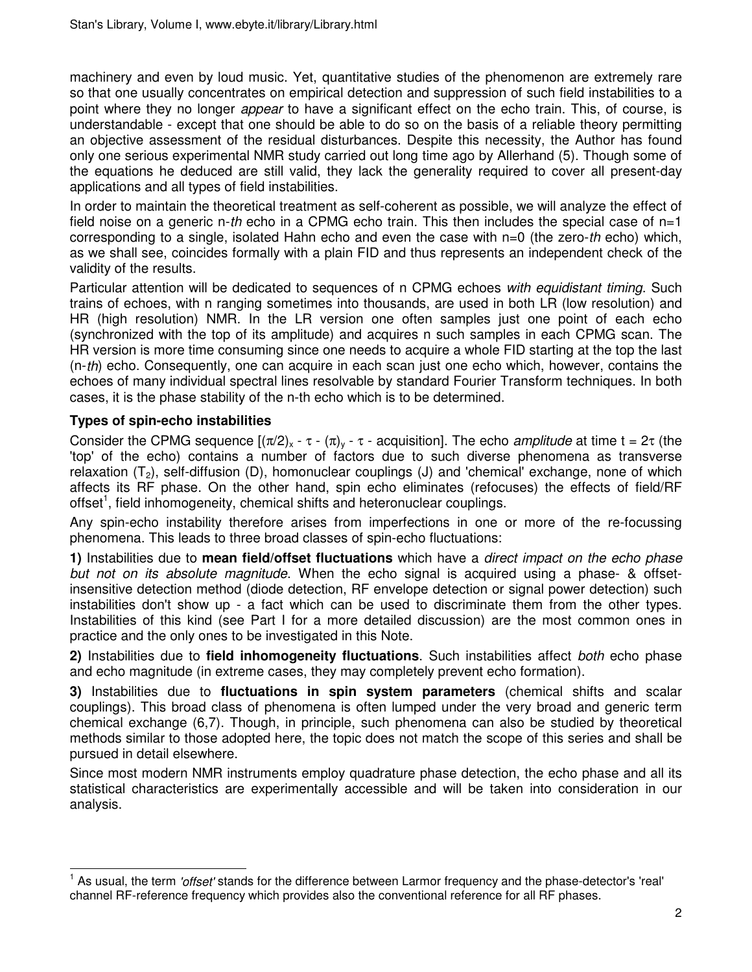machinery and even by loud music. Yet, quantitative studies of the phenomenon are extremely rare so that one usually concentrates on empirical detection and suppression of such field instabilities to a point where they no longer *appear* to have a significant effect on the echo train. This, of course, is understandable - except that one should be able to do so on the basis of a reliable theory permitting an objective assessment of the residual disturbances. Despite this necessity, the Author has found only one serious experimental NMR study carried out long time ago by Allerhand (5). Though some of the equations he deduced are still valid, they lack the generality required to cover all present-day applications and all types of field instabilities.

In order to maintain the theoretical treatment as self-coherent as possible, we will analyze the effect of field noise on a generic n-th echo in a CPMG echo train. This then includes the special case of  $n=1$ corresponding to a single, isolated Hahn echo and even the case with  $n=0$  (the zero-th echo) which, as we shall see, coincides formally with a plain FID and thus represents an independent check of the validity of the results.

Particular attention will be dedicated to sequences of n CPMG echoes with equidistant timing. Such trains of echoes, with n ranging sometimes into thousands, are used in both LR (low resolution) and HR (high resolution) NMR. In the LR version one often samples just one point of each echo (synchronized with the top of its amplitude) and acquires n such samples in each CPMG scan. The HR version is more time consuming since one needs to acquire a whole FID starting at the top the last (n-th) echo. Consequently, one can acquire in each scan just one echo which, however, contains the echoes of many individual spectral lines resolvable by standard Fourier Transform techniques. In both cases, it is the phase stability of the n-th echo which is to be determined.

# **Types of spin-echo instabilities**

l

Consider the CPMG sequence  $[(\pi/2)_x - \tau - (\pi)_y - \tau -$  acquisition]. The echo *amplitude* at time t =  $2\tau$  (the 'top' of the echo) contains a number of factors due to such diverse phenomena as transverse relaxation  $(T_2)$ , self-diffusion (D), homonuclear couplings (J) and 'chemical' exchange, none of which affects its RF phase. On the other hand, spin echo eliminates (refocuses) the effects of field/RF offset<sup>1</sup>, field inhomogeneity, chemical shifts and heteronuclear couplings.

Any spin-echo instability therefore arises from imperfections in one or more of the re-focussing phenomena. This leads to three broad classes of spin-echo fluctuations:

**1)** Instabilities due to **mean field/offset fluctuations** which have a direct impact on the echo phase but not on its absolute magnitude. When the echo signal is acquired using a phase- & offsetinsensitive detection method (diode detection, RF envelope detection or signal power detection) such instabilities don't show up - a fact which can be used to discriminate them from the other types. Instabilities of this kind (see Part I for a more detailed discussion) are the most common ones in practice and the only ones to be investigated in this Note.

**2)** Instabilities due to **field inhomogeneity fluctuations**. Such instabilities affect both echo phase and echo magnitude (in extreme cases, they may completely prevent echo formation).

**3)** Instabilities due to **fluctuations in spin system parameters** (chemical shifts and scalar couplings). This broad class of phenomena is often lumped under the very broad and generic term chemical exchange (6,7). Though, in principle, such phenomena can also be studied by theoretical methods similar to those adopted here, the topic does not match the scope of this series and shall be pursued in detail elsewhere.

Since most modern NMR instruments employ quadrature phase detection, the echo phase and all its statistical characteristics are experimentally accessible and will be taken into consideration in our analysis.

<sup>1</sup> As usual, the term 'offset' stands for the difference between Larmor frequency and the phase-detector's 'real' channel RF-reference frequency which provides also the conventional reference for all RF phases.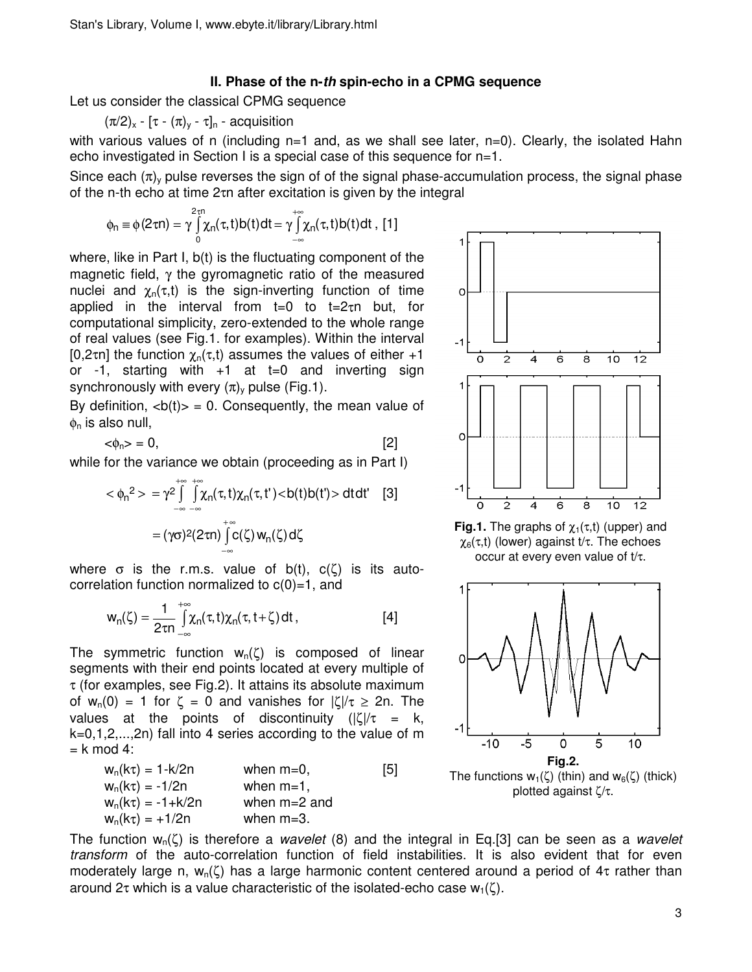### **II. Phase of the n-th spin-echo in a CPMG sequence**

Let us consider the classical CPMG sequence

 $(\pi/2)_x$  -  $[\tau - (\pi)_y - \tau]_n$  - acquisition

with various values of n (including n=1 and, as we shall see later, n=0). Clearly, the isolated Hahn echo investigated in Section I is a special case of this sequence for n=1.

Since each  $(\pi)$  pulse reverses the sign of of the signal phase-accumulation process, the signal phase of the n-th echo at time 2τn after excitation is given by the integral

$$
\varphi_n\equiv \varphi(2\tau n)=\gamma\int\limits_0^{2\tau n}\!\!\!\chi_n(\tau,t)b(t)dt=\gamma\!\!\int\limits_{-\infty}^{+\infty}\!\!\chi_n(\tau,t)b(t)dt\;,\;[\![1]\!]
$$

where, like in Part I,  $b(t)$  is the fluctuating component of the magnetic field,  $\gamma$  the gyromagnetic ratio of the measured nuclei and  $\chi_n(\tau,t)$  is the sign-inverting function of time applied in the interval from t=0 to t=2τn but, for computational simplicity, zero-extended to the whole range of real values (see Fig.1. for examples). Within the interval [0,2τη] the function  $\chi_n(\tau,t)$  assumes the values of either +1 or  $-1$ , starting with  $+1$  at  $t=0$  and inverting sign synchronously with every  $(\pi)$  pulse (Fig.1).

By definition,  **= 0. Consequently, the mean value of**  $\phi_n$  is also null,

 $<\phi_n> = 0$ , [2]

while for the variance we obtain (proceeding as in Part I)

$$
\langle \phi_n^2 \rangle = \gamma^2 \int_{-\infty}^{+\infty} \int_{-\infty}^{+\infty} \chi_n(\tau, t) \chi_n(\tau, t') \langle b(t) b(t') \rangle dt dt' \quad [3]
$$

$$
= (\gamma \sigma)^2 (2\tau n) \int_{-\infty}^{+\infty} c(\zeta) w_n(\zeta) d\zeta
$$

where  $\sigma$  is the r.m.s. value of b(t),  $c(\zeta)$  is its autocorrelation function normalized to  $c(0)=1$ , and

$$
w_n(\zeta) = \frac{1}{2\tau n} \int_{-\infty}^{+\infty} \chi_n(\tau, t) \chi_n(\tau, t + \zeta) dt , \qquad [4]
$$

The symmetric function  $w_n(\zeta)$  is composed of linear segments with their end points located at every multiple of  $\tau$  (for examples, see Fig.2). It attains its absolute maximum of  $w_n(0) = 1$  for  $\zeta = 0$  and vanishes for  $|\zeta|/\tau \ge 2n$ . The values at the points of discontinuity  $(|\zeta|/\tau = k$ , k=0,1,2,...,2n) fall into 4 series according to the value of m  $= k \mod 4$ :

 $w_n(k\tau) = 1 - k/2n$  when m=0, [5]  $w_n(k\tau) = -1/2n$  when m=1,  $w_n(k\tau) = -1 + k/2n$  when m=2 and  $w_n(k\tau) = +1/2n$  when m=3.



**Fig.1.** The graphs of  $\chi_1(\tau,t)$  (upper) and χ6(τ,t) (lower) against t/τ. The echoes occur at every even value of t/τ.



The function  $w_n(\zeta)$  is therefore a *wavelet* (8) and the integral in Eq.[3] can be seen as a *wavelet* transform of the auto-correlation function of field instabilities. It is also evident that for even moderately large n,  $w_n(\zeta)$  has a large harmonic content centered around a period of 4t rather than around  $2\tau$  which is a value characteristic of the isolated-echo case  $w_1(\zeta)$ .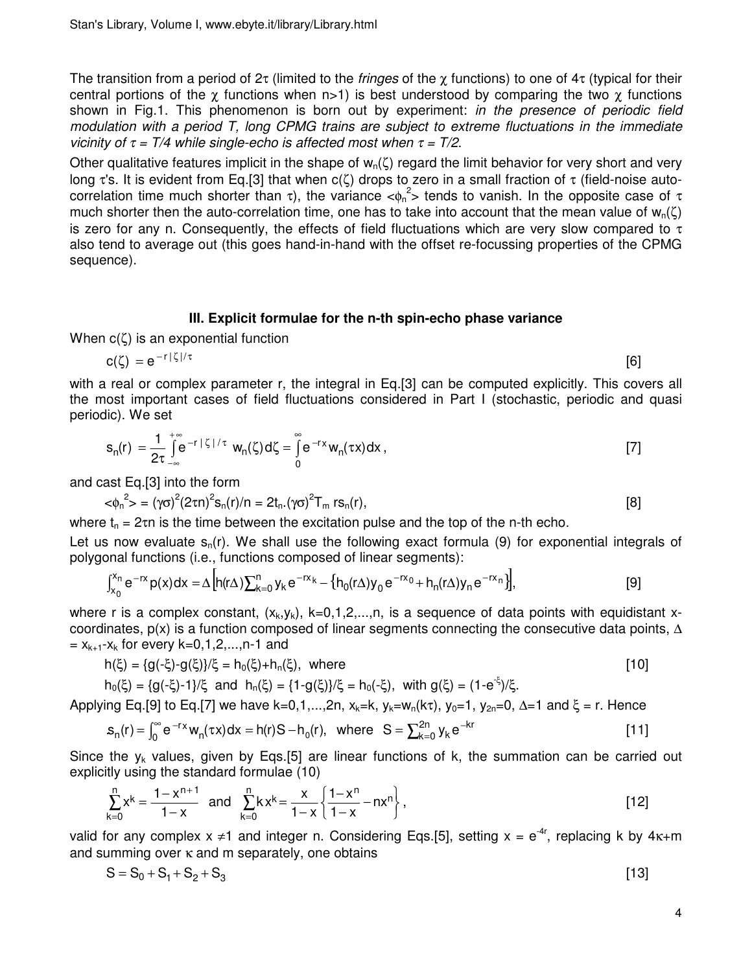The transition from a period of 2τ (limited to the *fringes* of the  $\chi$  functions) to one of 4τ (typical for their central portions of the  $\chi$  functions when n>1) is best understood by comparing the two  $\chi$  functions shown in Fig.1. This phenomenon is born out by experiment: in the presence of periodic field modulation with a period T, long CPMG trains are subject to extreme fluctuations in the immediate vicinity of  $\tau = T/4$  while single-echo is affected most when  $\tau = T/2$ .

Other qualitative features implicit in the shape of  $w_n(\zeta)$  regard the limit behavior for very short and very long τ's. It is evident from Eq.[3] that when c(ζ) drops to zero in a small fraction of τ (field-noise autocorrelation time much shorter than  $\tau$ ), the variance  $\langle \phi_n^2 \rangle$  tends to vanish. In the opposite case of  $\tau$ much shorter then the auto-correlation time, one has to take into account that the mean value of  $w_n(\zeta)$ is zero for any n. Consequently, the effects of field fluctuations which are very slow compared to  $\tau$ also tend to average out (this goes hand-in-hand with the offset re-focussing properties of the CPMG sequence).

#### **III. Explicit formulae for the n-th spin-echo phase variance**

When  $c(\zeta)$  is an exponential function

$$
c(\zeta) = e^{-r|\zeta|/\tau} \tag{6}
$$

with a real or complex parameter r, the integral in Eq.[3] can be computed explicitly. This covers all the most important cases of field fluctuations considered in Part I (stochastic, periodic and quasi periodic). We set

$$
s_n(r) = \frac{1}{2\tau} \int_{-\infty}^{+\infty} e^{-r |\zeta| / \tau} w_n(\zeta) d\zeta = \int_{0}^{\infty} e^{-r x} w_n(\tau x) dx , \qquad [7]
$$

and cast Eq.[3] into the form

$$
\langle \phi_n^2 \rangle = (\gamma \sigma)^2 (2 \tau n)^2 s_n(r)/n = 2t_n. (\gamma \sigma)^2 T_m \, rs_n(r), \tag{8}
$$

where  $t_n = 2\tau n$  is the time between the excitation pulse and the top of the n-th echo.

Let us now evaluate  $s_n(r)$ . We shall use the following exact formula (9) for exponential integrals of polygonal functions (i.e., functions composed of linear segments):

$$
\int_{x_0}^{x_n} e^{-rx} p(x) dx = \Delta \left[ h(r\Delta) \sum_{k=0}^n y_k e^{-rx_k} - \left\{ h_0(r\Delta) y_0 e^{-rx_0} + h_n(r\Delta) y_n e^{-rx_n} \right\} \right],
$$
 [9]

where r is a complex constant,  $(x_k, y_k)$ ,  $k=0,1,2,...,n$ , is a sequence of data points with equidistant xcoordinates,  $p(x)$  is a function composed of linear segments connecting the consecutive data points,  $\Delta$  $x_{k+1}-x_k$  for every k=0,1,2,...,n-1 and

$$
h(\xi) = \{g(-\xi) - g(\xi)\}/\xi = h_0(\xi) + h_n(\xi), \text{ where}
$$
 [10]

 $h_0(\xi) = \{g(-\xi) - 1\}/\xi \text{ and } h_n(\xi) = \{1 - g(\xi)\}/\xi = h_0(-\xi), \text{ with } g(\xi) = (1 - e^{-\xi})/\xi.$ 

Applying Eq.[9] to Eq.[7] we have k=0,1,...,2n,  $x_k=k$ ,  $y_k=w_n(k\tau)$ ,  $y_0=1$ ,  $y_{2n}=0$ ,  $\Delta=1$  and  $\xi = r$ . Hence

$$
s_n(r) = \int_0^\infty e^{-rx} w_n(\tau x) dx = h(r)S - h_0(r), \text{ where } S = \sum_{k=0}^{2n} y_k e^{-kr}
$$
 [11]

Since the  $y_k$  values, given by Eqs.[5] are linear functions of k, the summation can be carried out explicitly using the standard formulae (10)

$$
\sum_{k=0}^{n} x^{k} = \frac{1 - x^{n+1}}{1 - x} \text{ and } \sum_{k=0}^{n} k x^{k} = \frac{x}{1 - x} \left\{ \frac{1 - x^{n}}{1 - x} - nx^{n} \right\},
$$
 [12]

valid for any complex  $x \neq 1$  and integer n. Considering Eqs.[5], setting  $x = e^{-4r}$ , replacing k by 4 $\kappa$ +m and summing over  $\kappa$  and m separately, one obtains

$$
S = S_0 + S_1 + S_2 + S_3 \tag{13}
$$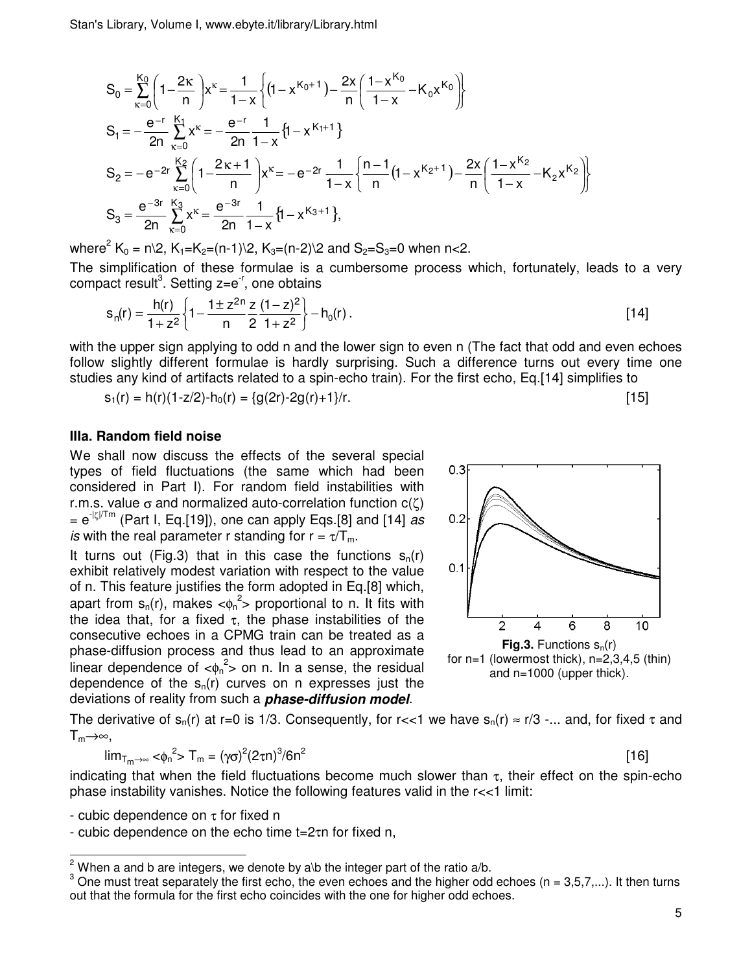Stan's Library, Volume I, www.ebyte.it/library/Library.html

$$
S_{0} = \sum_{\kappa=0}^{K_{0}} \left( 1 - \frac{2\kappa}{n} \right) x^{\kappa} = \frac{1}{1-x} \left\{ \left( 1 - x^{K_{0}+1} \right) - \frac{2x}{n} \left( \frac{1 - x^{K_{0}}}{1-x} - K_{0} x^{K_{0}} \right) \right\}
$$
  
\n
$$
S_{1} = -\frac{e^{-r}}{2n} \sum_{\kappa=0}^{K_{1}} x^{\kappa} = -\frac{e^{-r}}{2n} \frac{1}{1-x} \left\{ 1 - x^{K_{1}+1} \right\}
$$
  
\n
$$
S_{2} = -e^{-2r} \sum_{\kappa=0}^{K_{2}} \left( 1 - \frac{2\kappa + 1}{n} \right) x^{\kappa} = -e^{-2r} \frac{1}{1-x} \left\{ \frac{n-1}{n} \left( 1 - x^{K_{2}+1} \right) - \frac{2x}{n} \left( \frac{1 - x^{K_{2}}}{1-x} - K_{2} x^{K_{2}} \right) \right\}
$$
  
\n
$$
S_{3} = \frac{e^{-3r}}{2n} \sum_{\kappa=0}^{K_{3}} x^{\kappa} = \frac{e^{-3r}}{2n} \frac{1}{1-x} \left\{ 1 - x^{K_{3}+1} \right\},
$$

where<sup>2</sup> K<sub>0</sub> = n\2, K<sub>1</sub>=K<sub>2</sub>=(n-1)\2, K<sub>3</sub>=(n-2)\2 and S<sub>2</sub>=S<sub>3</sub>=0 when n<2.

The simplification of these formulae is a cumbersome process which, fortunately, leads to a very compact result<sup>3</sup>. Setting z=e<sup>-r</sup>, one obtains

$$
s_n(r) = \frac{h(r)}{1 + z^2} \left\{ 1 - \frac{1 \pm z^{2n}}{n} \frac{z}{2} \frac{(1 - z)^2}{1 + z^2} \right\} - h_0(r) \,. \tag{14}
$$

with the upper sign applying to odd n and the lower sign to even n (The fact that odd and even echoes follow slightly different formulae is hardly surprising. Such a difference turns out every time one studies any kind of artifacts related to a spin-echo train). For the first echo, Eq.[14] simplifies to

 $s_1(r) = h(r)(1-z/2) - h_0(r) = {g(2r) - 2g(r) + 1}/r.$  [15]

### **IIIa. Random field noise**

We shall now discuss the effects of the several special types of field fluctuations (the same which had been considered in Part I). For random field instabilities with r.m.s. value  $\sigma$  and normalized auto-correlation function  $c(\zeta)$  $= e^{-|\zeta|/Tm}$  (Part I, Eq.[19]), one can apply Eqs.[8] and [14] as is with the real parameter r standing for  $r = \tau/T_m$ .

It turns out (Fig.3) that in this case the functions  $s_n(r)$ exhibit relatively modest variation with respect to the value of n. This feature justifies the form adopted in Eq.[8] which, apart from  $s_n(r)$ , makes  $\langle s_n^2 \rangle$  proportional to n. It fits with the idea that, for a fixed  $\tau$ , the phase instabilities of the consecutive echoes in a CPMG train can be treated as a phase-diffusion process and thus lead to an approximate linear dependence of  $<\phi_n^2$  on n. In a sense, the residual dependence of the  $s<sub>n</sub>(r)$  curves on n expresses just the deviations of reality from such a **phase-diffusion model**.



The derivative of  $s_n(r)$  at r=0 is 1/3. Consequently, for r<<1 we have  $s_n(r) \approx r/3$  -... and, for fixed  $\tau$  and  $T_m \rightarrow \infty$ ,

$$
\lim_{T_{m}\to\infty} <\!\!\varphi_n^2> T_m = (\gamma\sigma)^2(2\tau n)^3/6n^2
$$

$$
[16]
$$

indicating that when the field fluctuations become much slower than  $\tau$ , their effect on the spin-echo phase instability vanishes. Notice the following features valid in the  $r < 1$  limit:

- cubic dependence on  $\tau$  for fixed n

l

- cubic dependence on the echo time t=2τn for fixed n,

 $2\overline{2}$  When a and b are integers, we denote by a\b the integer part of the ratio a/b.

 $3$  One must treat separately the first echo, the even echoes and the higher odd echoes (n = 3,5,7,...). It then turns out that the formula for the first echo coincides with the one for higher odd echoes.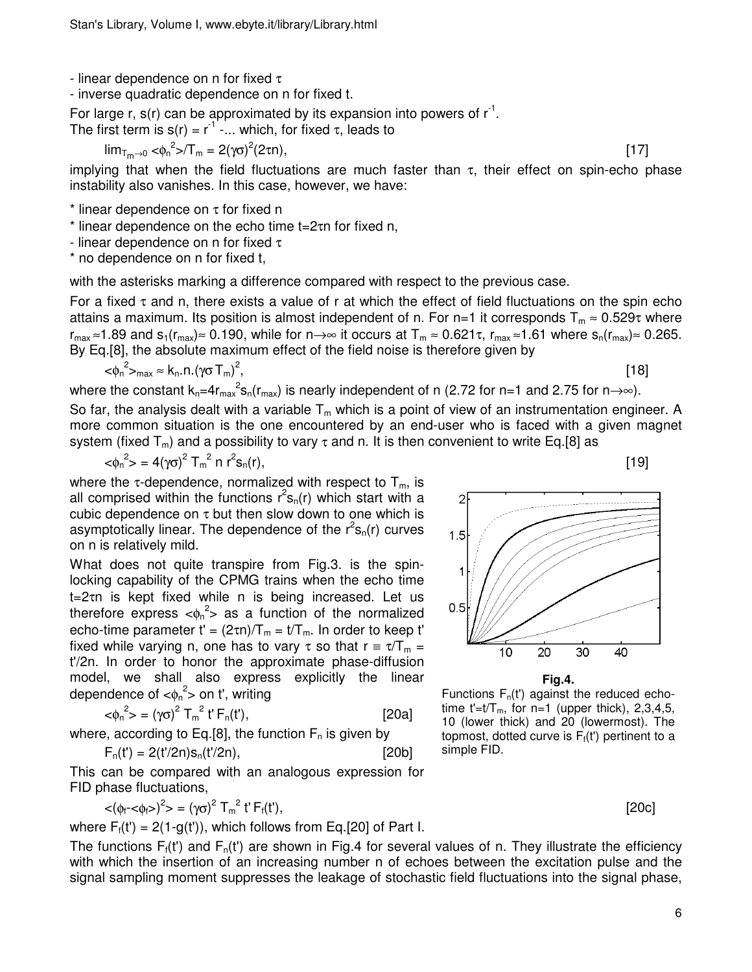- linear dependence on n for fixed  $\tau$ 

- inverse quadratic dependence on n for fixed t.

For large r,  $s(r)$  can be approximated by its expansion into powers of  $r^{-1}$ .

The first term is  $s(r) = r^{-1}$  -... which, for fixed  $\tau$ , leads to

$$
\lim_{T_{m}\to 0} <\!\!\varphi_{n}^{2} > T_{m} = 2(\gamma\sigma)^{2}(2\tau n), \tag{17}
$$

implying that when the field fluctuations are much faster than  $\tau$ , their effect on spin-echo phase instability also vanishes. In this case, however, we have:

 $*$  linear dependence on  $\tau$  for fixed n

\* linear dependence on the echo time t=2τn for fixed n,

- linear dependence on n for fixed  $\tau$ 

\* no dependence on n for fixed t,

with the asterisks marking a difference compared with respect to the previous case.

For a fixed  $\tau$  and n, there exists a value of r at which the effect of field fluctuations on the spin echo attains a maximum. Its position is almost independent of n. For n=1 it corresponds  $T_m \approx 0.529\tau$  where  $r_{max} \approx 1.89$  and  $s_1(r_{max}) \approx 0.190$ , while for n→∞ it occurs at  $T_m \approx 0.621\tau$ ,  $r_{max} \approx 1.61$  where  $s_n(r_{max}) \approx 0.265$ . By Eq.[8], the absolute maximum effect of the field noise is therefore given by

$$
<\!\!\varphi_n^2\!\!>_{max}\approx k_n.n.(\gamma\sigma\,T_m)^2
$$

, the contract of the contract of  $[18]$ 

where the constant  $k_n=4r_{max}^2s_n(r_{max})$  is nearly independent of n (2.72 for n=1 and 2.75 for n $\rightarrow \infty$ ). So far, the analysis dealt with a variable  $T_m$  which is a point of view of an instrumentation engineer. A more common situation is the one encountered by an end-user who is faced with a given magnet system (fixed T<sub>m</sub>) and a possibility to vary  $\tau$  and n. It is then convenient to write Eq.[8] as

$$
\langle \phi_n^2 \rangle = 4(\gamma \sigma)^2 T_m^2 n r^2 s_n(r), \tag{19}
$$

where the  $\tau$ -dependence, normalized with respect to  $T_m$ , is all comprised within the functions  $r^2s_n(r)$  which start with a cubic dependence on  $\tau$  but then slow down to one which is asymptotically linear. The dependence of the  $r^2s_n(r)$  curves on n is relatively mild.

What does not quite transpire from Fig.3. is the spinlocking capability of the CPMG trains when the echo time t=2τn is kept fixed while n is being increased. Let us therefore express  $\langle \phi_n^2 \rangle$  as a function of the normalized echo-time parameter t' =  $(2\tau n)/T_m = t/T_m$ . In order to keep t' fixed while varying n, one has to vary  $\tau$  so that  $r = \tau/T_m =$ t'/2n. In order to honor the approximate phase-diffusion model, we shall also express explicitly the linear dependence of  $<\!\!{\varphi_n}^2\!\!>$  on t', writing

$$
\langle \phi_n^2 \rangle = (\gamma \sigma)^2 T_m^2 t' F_n(t'), \qquad [20a]
$$

where, according to Eq.[8], the function 
$$
F_n
$$
 is given by

$$
F_n(t') = 2(t'/2n) s_n(t'/2n),
$$
 [20b]

This can be compared with an analogous expression for FID phase fluctuations,

$$
\langle (\phi_f - \langle \phi_f \rangle)^2 \rangle = (\gamma \sigma)^2 \, T_m^2 \, t' \, F_f(t'), \tag{20c}
$$

where  $F_f(t') = 2(1-g(t'))$ , which follows from Eq.[20] of Part I.

The functions  $F_i(t')$  and  $F_n(t')$  are shown in Fig.4 for several values of n. They illustrate the efficiency with which the insertion of an increasing number n of echoes between the excitation pulse and the signal sampling moment suppresses the leakage of stochastic field fluctuations into the signal phase,

 $\overline{2}$  $1.5$ 1  $0.5$  $10$ 20 30 40



Functions  $F_n(t')$  against the reduced echotime  $t'=t/T_m$ , for n=1 (upper thick), 2,3,4,5, 10 (lower thick) and 20 (lowermost). The topmost, dotted curve is  $F_f(t')$  pertinent to a simple FID.

6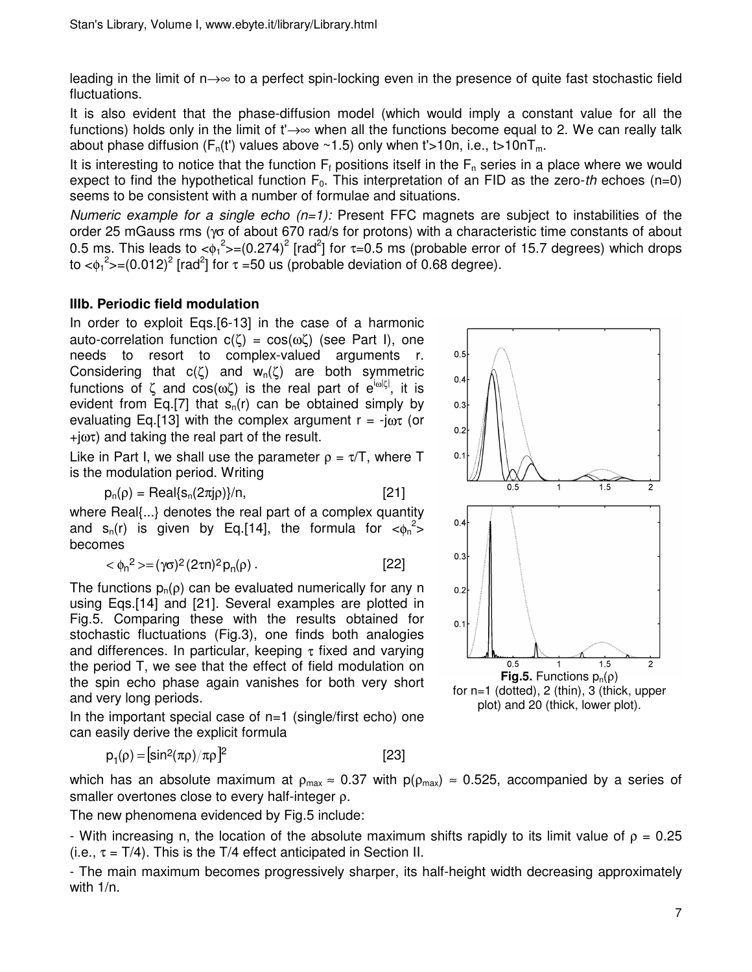leading in the limit of n→∞ to a perfect spin-locking even in the presence of quite fast stochastic field fluctuations.

It is also evident that the phase-diffusion model (which would imply a constant value for all the functions) holds only in the limit of t'→∞ when all the functions become equal to 2. We can really talk about phase diffusion  $(F_n(t))$  values above ~1.5) only when  $t > 10n$ , i.e., t $>10nT_m$ .

It is interesting to notice that the function  $F_f$  positions itself in the  $F_n$  series in a place where we would expect to find the hypothetical function  $F_0$ . This interpretation of an FID as the zero-th echoes (n=0) seems to be consistent with a number of formulae and situations.

Numeric example for a single echo  $(n=1)$ : Present FFC magnets are subject to instabilities of the order 25 mGauss rms (γσ of about 670 rad/s for protons) with a characteristic time constants of about 0.5 ms. This leads to  $\langle \phi_1^2 \rangle = (0.274)^2$  [rad<sup>2</sup>] for  $\tau = 0.5$  ms (probable error of 15.7 degrees) which drops to < $\phi_1^2$ >=(0.012)<sup>2</sup> [rad<sup>2</sup>] for  $\tau$  =50 us (probable deviation of 0.68 degree).

# **IIIb. Periodic field modulation**

In order to exploit Eqs.[6-13] in the case of a harmonic auto-correlation function  $c(ζ) = cos(ωζ)$  (see Part I), one needs to resort to complex-valued arguments r. Considering that  $c(\zeta)$  and  $w_n(\zeta)$  are both symmetric functions of ζ and cos(ωζ) is the real part of  $e^{i\omega|\zeta|}$ , it is evident from Eq. [7] that  $s_n(r)$  can be obtained simply by evaluating Eq. [13] with the complex argument  $r = -i\omega\tau$  (or  $+i\omega\tau$ ) and taking the real part of the result.

Like in Part I, we shall use the parameter  $\rho = \tau/T$ , where T is the modulation period. Writing

$$
p_n(\rho) = Real\{s_n(2\pi j\rho)\}/n,
$$
 [21]

where Real{...} denotes the real part of a complex quantity and  $s_n(r)$  is given by Eq.[14], the formula for  $\langle \phi_n^2 \rangle$ becomes

$$
\langle \phi_n^2 \rangle = (\gamma \sigma)^2 (2\tau n)^2 p_n(\rho) \,. \tag{22}
$$

The functions  $p_n(\rho)$  can be evaluated numerically for any n using Eqs.[14] and [21]. Several examples are plotted in Fig.5. Comparing these with the results obtained for stochastic fluctuations (Fig.3), one finds both analogies and differences. In particular, keeping τ fixed and varying the period T, we see that the effect of field modulation on the spin echo phase again vanishes for both very short and very long periods.

In the important special case of  $n=1$  (single/first echo) one can easily derive the explicit formula

$$
p_1(\rho) = [sin^2(\pi \rho)/\pi \rho]^2
$$
 [23]



which has an absolute maximum at  $\rho_{max} \approx 0.37$  with  $p(\rho_{max}) \approx 0.525$ , accompanied by a series of smaller overtones close to every half-integer ρ.

The new phenomena evidenced by Fig.5 include:

- With increasing n, the location of the absolute maximum shifts rapidly to its limit value of  $\rho = 0.25$ (i.e.,  $\tau = T/4$ ). This is the T/4 effect anticipated in Section II.

- The main maximum becomes progressively sharper, its half-height width decreasing approximately with 1/n.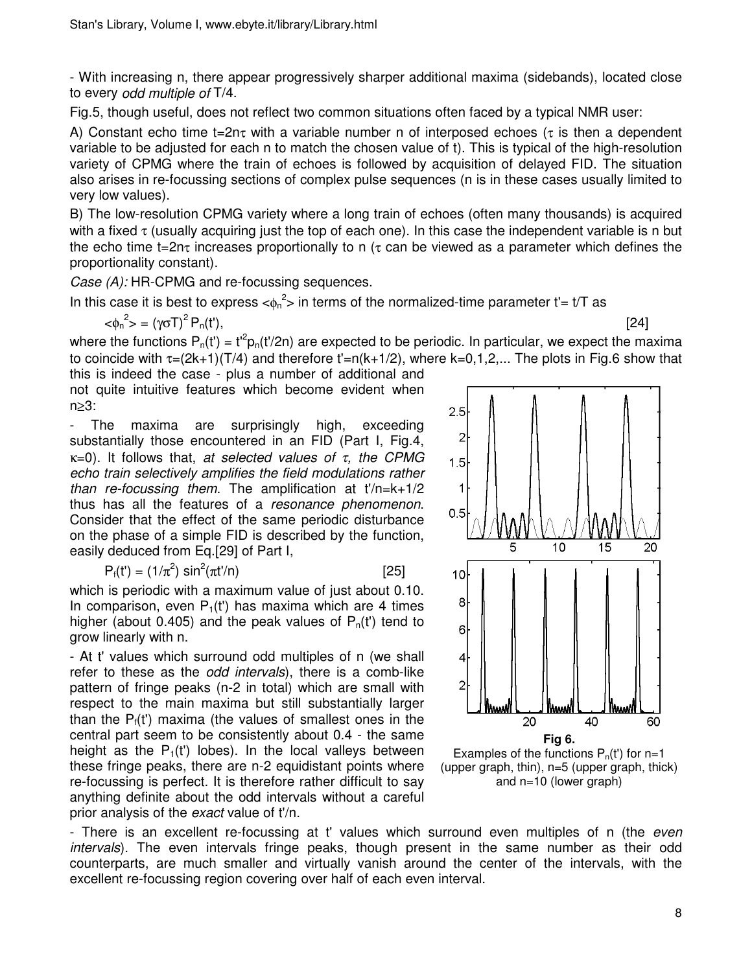- With increasing n, there appear progressively sharper additional maxima (sidebands), located close to every odd multiple of T/4.

Fig.5, though useful, does not reflect two common situations often faced by a typical NMR user:

A) Constant echo time  $t=2n\tau$  with a variable number n of interposed echoes ( $\tau$  is then a dependent variable to be adjusted for each n to match the chosen value of t). This is typical of the high-resolution variety of CPMG where the train of echoes is followed by acquisition of delayed FID. The situation also arises in re-focussing sections of complex pulse sequences (n is in these cases usually limited to very low values).

B) The low-resolution CPMG variety where a long train of echoes (often many thousands) is acquired with a fixed  $\tau$  (usually acquiring just the top of each one). In this case the independent variable is n but the echo time t=2nt increases proportionally to n ( $\tau$  can be viewed as a parameter which defines the proportionality constant).

Case (A): HR-CPMG and re-focussing sequences.

In this case it is best to express  $\langle \phi_n^2 \rangle$  in terms of the normalized-time parameter t'= t/T as

 $<$ φ<sub>n</sub><sup>2</sup>> = (γσT)  ${}^{2}P_{n}(t'),$  [24]

where the functions  $P_n(t') = t'^2 p_n(t'/2n)$  are expected to be periodic. In particular, we expect the maxima to coincide with  $\tau=(2k+1)(T/4)$  and therefore  $t'=n(k+1/2)$ , where  $k=0,1,2,...$  The plots in Fig.6 show that this is indeed the case - plus a number of additional and

not quite intuitive features which become evident when n≥3:

- The maxima are surprisingly high, exceeding substantially those encountered in an FID (Part I, Fig.4,  $\kappa$ =0). It follows that, at selected values of τ, the CPMG echo train selectively amplifies the field modulations rather than re-focussing them. The amplification at  $t'/n=k+1/2$ thus has all the features of a resonance phenomenon. Consider that the effect of the same periodic disturbance on the phase of a simple FID is described by the function, easily deduced from Eq.[29] of Part I,

 $P_f(t') = (1/\pi^2) \sin^2(\pi t'/n)$  [25]

which is periodic with a maximum value of just about 0.10. In comparison, even  $P_1(t')$  has maxima which are 4 times higher (about 0.405) and the peak values of  $P_n(t)$  tend to grow linearly with n.

- At t' values which surround odd multiples of n (we shall refer to these as the odd intervals), there is a comb-like pattern of fringe peaks (n-2 in total) which are small with respect to the main maxima but still substantially larger than the  $P_f(t)$  maxima (the values of smallest ones in the central part seem to be consistently about 0.4 - the same height as the  $P_1(t)$  lobes). In the local valleys between these fringe peaks, there are n-2 equidistant points where re-focussing is perfect. It is therefore rather difficult to say anything definite about the odd intervals without a careful prior analysis of the *exact* value of t<sup>'</sup>/n.



(upper graph, thin), n=5 (upper graph, thick) and n=10 (lower graph)

- There is an excellent re-focussing at t' values which surround even multiples of n (the *even* intervals). The even intervals fringe peaks, though present in the same number as their odd counterparts, are much smaller and virtually vanish around the center of the intervals, with the excellent re-focussing region covering over half of each even interval.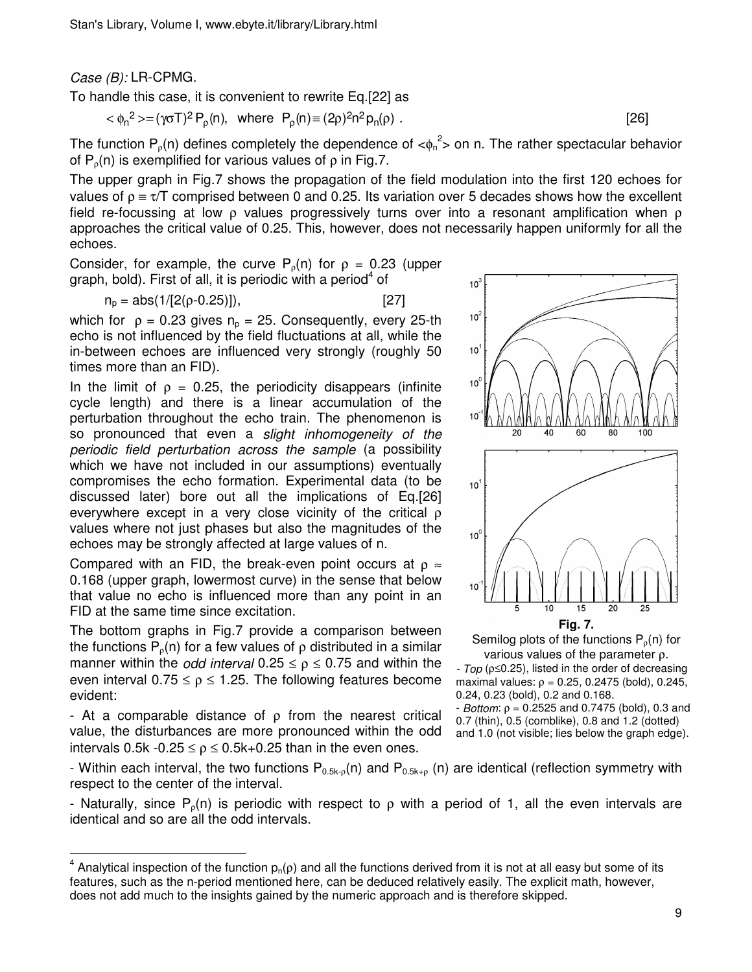Case (B): LR-CPMG.

To handle this case, it is convenient to rewrite Eq.[22] as

$$
\langle \phi_n^2 \rangle = (\gamma \sigma T)^2 P_p(n), \text{ where } P_p(n) \equiv (2\rho)^2 n^2 p_n(\rho).
$$
 [26]

The function  $P_p(n)$  defines completely the dependence of  $\langle \phi_n^2 \rangle$  on n. The rather spectacular behavior of  $P_p(n)$  is exemplified for various values of  $p$  in Fig.7.

The upper graph in Fig.7 shows the propagation of the field modulation into the first 120 echoes for values of  $\rho = \tau/T$  comprised between 0 and 0.25. Its variation over 5 decades shows how the excellent field re-focussing at low  $\rho$  values progressively turns over into a resonant amplification when  $\rho$ approaches the critical value of 0.25. This, however, does not necessarily happen uniformly for all the echoes.

Consider, for example, the curve  $P_0(n)$  for  $\rho = 0.23$  (upper graph, bold). First of all, it is periodic with a period<sup>4</sup> of

$$
n_p = abs(1/[2(p-0.25)]),
$$
 [27]

which for  $\rho = 0.23$  gives  $n_p = 25$ . Consequently, every 25-th echo is not influenced by the field fluctuations at all, while the in-between echoes are influenced very strongly (roughly 50 times more than an FID).

In the limit of  $\rho = 0.25$ , the periodicity disappears (infinite cycle length) and there is a linear accumulation of the perturbation throughout the echo train. The phenomenon is so pronounced that even a slight inhomogeneity of the periodic field perturbation across the sample (a possibility which we have not included in our assumptions) eventually compromises the echo formation. Experimental data (to be discussed later) bore out all the implications of Eq.[26] everywhere except in a very close vicinity of the critical ρ values where not just phases but also the magnitudes of the echoes may be strongly affected at large values of n.

Compared with an FID, the break-even point occurs at  $\rho \approx$ 0.168 (upper graph, lowermost curve) in the sense that below that value no echo is influenced more than any point in an FID at the same time since excitation.

The bottom graphs in Fig.7 provide a comparison between the functions  $P_0(n)$  for a few values of  $\rho$  distributed in a similar manner within the *odd interval*  $0.25 \le p \le 0.75$  and within the even interval  $0.75 \le \rho \le 1.25$ . The following features become evident:

- At a comparable distance of  $ρ$  from the nearest critical value, the disturbances are more pronounced within the odd intervals 0.5k  $-0.25 \le p \le 0.5k+0.25$  than in the even ones.

l



Semilog plots of the functions  $P_p(n)$  for various values of the parameter ρ.

- Top ( $\rho \le 0.25$ ), listed in the order of decreasing maximal values:  $ρ = 0.25, 0.2475$  (bold),  $0.245$ , 0.24, 0.23 (bold), 0.2 and 0.168.

 $-$  *Bottom*:  $ρ = 0.2525$  and 0.7475 (bold), 0.3 and 0.7 (thin), 0.5 (comblike), 0.8 and 1.2 (dotted) and 1.0 (not visible; lies below the graph edge).

- Within each interval, the two functions  $P_{0.5k\text{-}p}(n)$  and  $P_{0.5k\text{-}p}(n)$  are identical (reflection symmetry with respect to the center of the interval.

- Naturally, since P<sub>o</sub>(n) is periodic with respect to  $\rho$  with a period of 1, all the even intervals are identical and so are all the odd intervals.

 $^4$  Analytical inspection of the function  $p_n(\rho)$  and all the functions derived from it is not at all easy but some of its features, such as the n-period mentioned here, can be deduced relatively easily. The explicit math, however, does not add much to the insights gained by the numeric approach and is therefore skipped.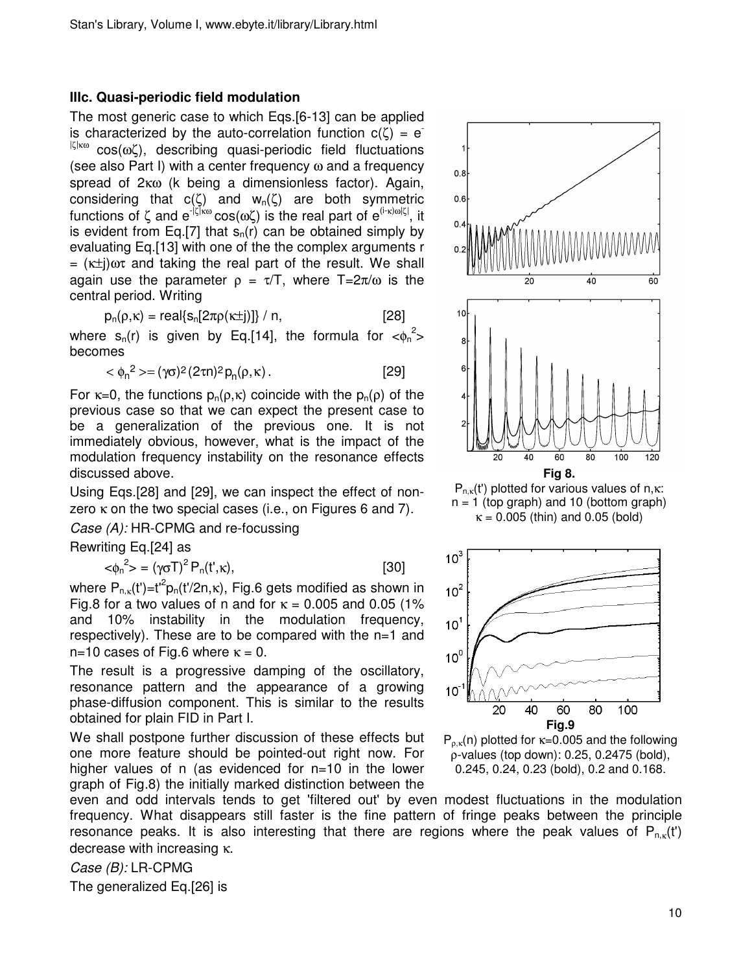## **IIIc. Quasi-periodic field modulation**

The most generic case to which Eqs.[6-13] can be applied is characterized by the auto-correlation function  $c(\zeta) = e^{-\zeta}$ |ζ|κω cos(ωζ), describing quasi-periodic field fluctuations (see also Part I) with a center frequency  $\omega$  and a frequency spread of 2κω (k being a dimensionless factor). Again, considering that  $c(\zeta)$  and  $w_n(\zeta)$  are both symmetric functions of ζ and e<sup>-|ζ|κω</sup> cos(ωζ) is the real part of e<sup>(i-κ)ω|ζ|</sup>, it is evident from Eq. [7] that  $s<sub>n</sub>(r)$  can be obtained simply by evaluating Eq.[13] with one of the the complex arguments r =  $(\kappa \pm i)\omega \tau$  and taking the real part of the result. We shall again use the parameter  $\rho = \tau/T$ , where  $T=2\pi/\omega$  is the central period. Writing

$$
p_n(\rho,\kappa) = real\{s_n[2\pi\rho(\kappa\pm j)]\} / n,
$$
 [28]

where  $s_n(r)$  is given by Eq.[14], the formula for  $<\phi_n^2>$ becomes

$$
\langle \phi_n^2 \rangle = (\gamma \sigma)^2 (2\tau n)^2 p_n(\rho, \kappa).
$$
 [29]

For  $\kappa=0$ , the functions  $p_n(\rho,\kappa)$  coincide with the  $p_n(\rho)$  of the previous case so that we can expect the present case to be a generalization of the previous one. It is not immediately obvious, however, what is the impact of the modulation frequency instability on the resonance effects discussed above.

Using Eqs.[28] and [29], we can inspect the effect of nonzero κ on the two special cases (i.e., on Figures 6 and 7).

Case (A): HR-CPMG and re-focussing

Rewriting Eq.[24] as

$$
\langle \phi_n^2 \rangle = (\gamma \sigma T)^2 P_n(t^*, \kappa), \tag{30}
$$

where  $\mathsf{P}_{\mathsf{n},\mathsf{\kappa}}(\mathsf{t}')\hspace{-1mm}=\hspace{-1mm}\mathsf{t}^{\mathsf{\iota}}\hspace{-1mm}\mathsf{P}_{\mathsf{n}}(\mathsf{t}'\hspace{-1mm}\mathsf{2}\mathsf{n},\mathsf{\kappa}),$  Fig.6 gets modified as shown in Fig.8 for a two values of n and for  $\kappa = 0.005$  and 0.05 (1% and 10% instability in the modulation frequency, respectively). These are to be compared with the n=1 and n=10 cases of Fig.6 where  $\kappa = 0$ .

The result is a progressive damping of the oscillatory, resonance pattern and the appearance of a growing phase-diffusion component. This is similar to the results obtained for plain FID in Part I.

We shall postpone further discussion of these effects but one more feature should be pointed-out right now. For higher values of n (as evidenced for n=10 in the lower graph of Fig.8) the initially marked distinction between the

even and odd intervals tends to get 'filtered out' by even modest fluctuations in the modulation frequency. What disappears still faster is the fine pattern of fringe peaks between the principle resonance peaks. It is also interesting that there are regions where the peak values of  $P_{n,k}(t)$ decrease with increasing κ.

Case (B): LR-CPMG

The generalized Eq.[26] is



 $P_{n,k}(t')$  plotted for various values of n,κ:  $n = 1$  (top graph) and 10 (bottom graph)  $\kappa = 0.005$  (thin) and 0.05 (bold)



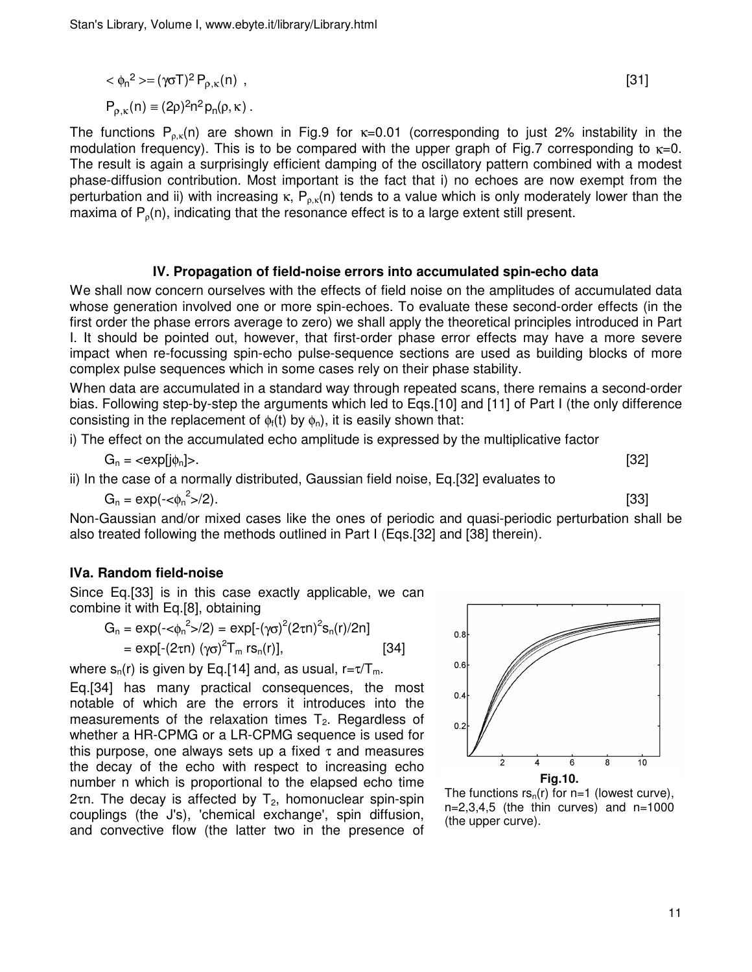$$
\langle \phi_n^2 \rangle = (\gamma \sigma T)^2 P_{\rho,\kappa}(n) ,
$$
\n
$$
P_{\rho,\kappa}(n) \equiv (2\rho)^2 n^2 p_n(\rho,\kappa) .
$$
\n
$$
(31)
$$

The functions  $P_{p,K}(n)$  are shown in Fig.9 for  $\kappa=0.01$  (corresponding to just 2% instability in the modulation frequency). This is to be compared with the upper graph of Fig.7 corresponding to  $\kappa=0$ . The result is again a surprisingly efficient damping of the oscillatory pattern combined with a modest phase-diffusion contribution. Most important is the fact that i) no echoes are now exempt from the perturbation and ii) with increasing κ,  $P_{o.\kappa}(n)$  tends to a value which is only moderately lower than the maxima of  $P_0(n)$ , indicating that the resonance effect is to a large extent still present.

#### **IV. Propagation of field-noise errors into accumulated spin-echo data**

We shall now concern ourselves with the effects of field noise on the amplitudes of accumulated data whose generation involved one or more spin-echoes. To evaluate these second-order effects (in the first order the phase errors average to zero) we shall apply the theoretical principles introduced in Part I. It should be pointed out, however, that first-order phase error effects may have a more severe impact when re-focussing spin-echo pulse-sequence sections are used as building blocks of more complex pulse sequences which in some cases rely on their phase stability.

When data are accumulated in a standard way through repeated scans, there remains a second-order bias. Following step-by-step the arguments which led to Eqs.[10] and [11] of Part I (the only difference consisting in the replacement of  $\phi_f(t)$  by  $\phi_n$ ), it is easily shown that:

i) The effect on the accumulated echo amplitude is expressed by the multiplicative factor

$$
G_n = \langle \exp[j\phi_n] \rangle. \tag{32}
$$

ii) In the case of a normally distributed, Gaussian field noise, Eq.[32] evaluates to

 $G_n = \exp(-\epsilon \phi_n^2)$ >/2). [33]

Non-Gaussian and/or mixed cases like the ones of periodic and quasi-periodic perturbation shall be also treated following the methods outlined in Part I (Eqs.[32] and [38] therein).

## **IVa. Random field-noise**

Since Eq.[33] is in this case exactly applicable, we can combine it with Eq.[8], obtaining

$$
G_n = \exp(-\langle \phi_n^2 \rangle / 2) = \exp[-(\gamma \sigma)^2 (2 \tau n)^2 s_n(r) / 2n]
$$
  
=  $\exp[-(2 \tau n) (\gamma \sigma)^2 T_m r s_n(r)],$  [34]

where  $s_n(r)$  is given by Eq.[14] and, as usual,  $r = \tau/T_m$ .

Eq.[34] has many practical consequences, the most notable of which are the errors it introduces into the measurements of the relaxation times  $T<sub>2</sub>$ . Regardless of whether a HR-CPMG or a LR-CPMG sequence is used for this purpose, one always sets up a fixed  $\tau$  and measures the decay of the echo with respect to increasing echo number n which is proportional to the elapsed echo time 2τη. The decay is affected by  $T_2$ , homonuclear spin-spin couplings (the J's), 'chemical exchange', spin diffusion, and convective flow (the latter two in the presence of



The functions  $rs_n(r)$  for n=1 (lowest curve),  $n=2,3,4,5$  (the thin curves) and  $n=1000$ (the upper curve).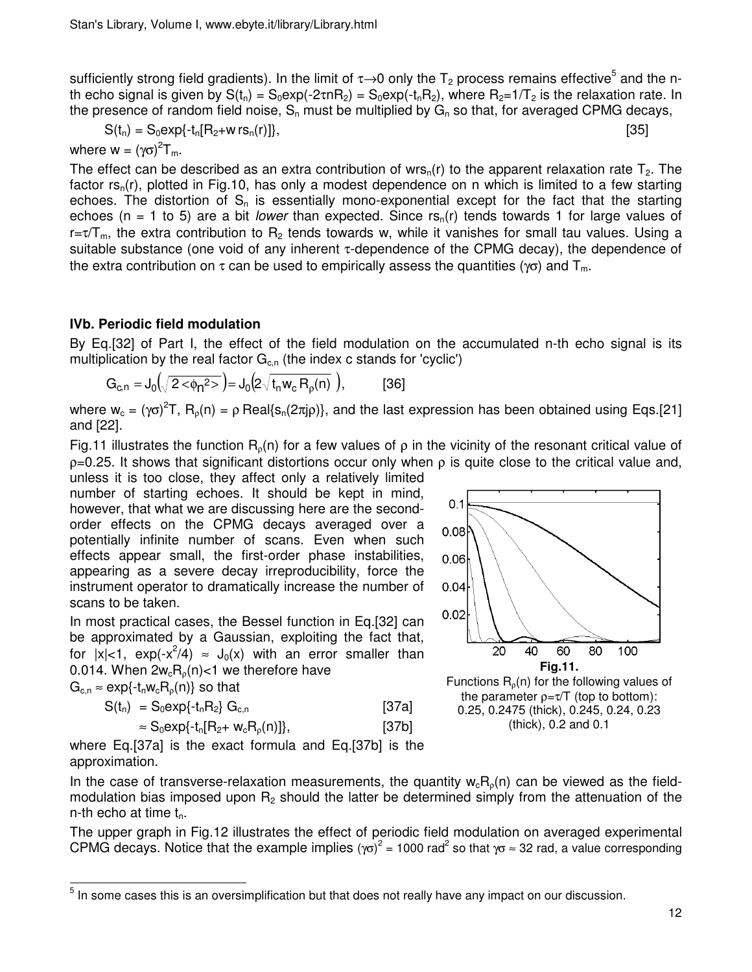sufficiently strong field gradients). In the limit of  $\tau \rightarrow 0$  only the  $T_2$  process remains effective<sup>5</sup> and the nth echo signal is given by  $S(t_n) = S_0 \exp(-2\tau nR_2) = S_0 \exp(-t_nR_2)$ , where  $R_2=1/T_2$  is the relaxation rate. In the presence of random field noise,  $S_n$  must be multiplied by  $G_n$  so that, for averaged CPMG decays,

$$
S(t_n) = S_0 \exp\{-t_n [R_2 + w \, rs_n(r)]\},\tag{35}
$$

$$
\begin{array}{c} \text{S} \\ \text{S} \end{array}
$$

where  $w = (\gamma \sigma)^2 T_m$ .

The effect can be described as an extra contribution of wrs<sub>n</sub>(r) to the apparent relaxation rate  $T_2$ . The factor  $rs_n(r)$ , plotted in Fig.10, has only a modest dependence on n which is limited to a few starting echoes. The distortion of  $S_n$  is essentially mono-exponential except for the fact that the starting echoes (n = 1 to 5) are a bit lower than expected. Since  $rs<sub>n</sub>(r)$  tends towards 1 for large values of r=τ/T<sub>m</sub>, the extra contribution to R<sub>2</sub> tends towards w, while it vanishes for small tau values. Using a suitable substance (one void of any inherent τ-dependence of the CPMG decay), the dependence of the extra contribution on  $\tau$  can be used to empirically assess the quantities ( $\gamma\sigma$ ) and  $T_m$ .

# **IVb. Periodic field modulation**

By Eq.[32] of Part I, the effect of the field modulation on the accumulated n-th echo signal is its multiplication by the real factor  $G_{c,n}$  (the index c stands for 'cyclic')

$$
G_{c,n} = J_0(\sqrt{2 \langle \phi_n^2 \rangle}) = J_0(2 \sqrt{t_n w_c R_p(n)})
$$
, [36]

where w<sub>c</sub> = (γσ)<sup>2</sup>T, R<sub>ρ</sub>(n) = ρ Real{s<sub>n</sub>(2πjρ)}, and the last expression has been obtained using Eqs.[21] and [22].

Fig.11 illustrates the function R<sub>0</sub>(n) for a few values of  $\rho$  in the vicinity of the resonant critical value of  $p=0.25$ . It shows that significant distortions occur only when  $ρ$  is quite close to the critical value and,

unless it is too close, they affect only a relatively limited number of starting echoes. It should be kept in mind, however, that what we are discussing here are the secondorder effects on the CPMG decays averaged over a potentially infinite number of scans. Even when such effects appear small, the first-order phase instabilities, appearing as a severe decay irreproducibility, force the instrument operator to dramatically increase the number of scans to be taken.

In most practical cases, the Bessel function in Eq.[32] can be approximated by a Gaussian, exploiting the fact that, for  $|x| < 1$ ,  $\exp(-x^2/4) \approx J_0(x)$  with an error smaller than 0.014. When  $2w_cR_o(n)$ <1 we therefore have

 $G_{c,n} \approx \exp\{-t_n w_c R_o(n)\}\$  so that

l

| $S(t_n) = S_0 exp\{-t_n R_2\} G_{c,n}$        | [37a] |
|-----------------------------------------------|-------|
| $\approx S_0 \exp\{-t_n[R_2 + w_c R_p(n)]\},$ | [37b] |



where Eq.[37a] is the exact formula and Eq.[37b] is the approximation.

In the case of transverse-relaxation measurements, the quantity  $w_cR_o(n)$  can be viewed as the fieldmodulation bias imposed upon  $R_2$  should the latter be determined simply from the attenuation of the n-th echo at time  $t_n$ .

The upper graph in Fig.12 illustrates the effect of periodic field modulation on averaged experimental CPMG decays. Notice that the example implies ( $\gamma \sigma$ )<sup>2</sup> = 1000 rad<sup>2</sup> so that  $\gamma \sigma \approx 32$  rad, a value corresponding

 $^5$  In some cases this is an oversimplification but that does not really have any impact on our discussion.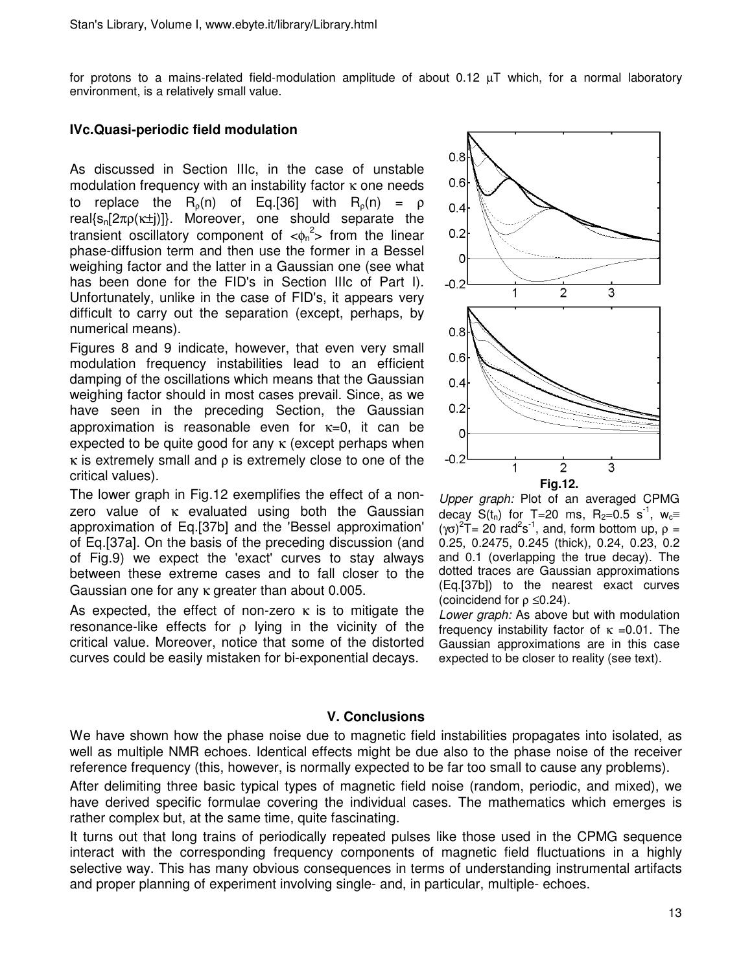for protons to a mains-related field-modulation amplitude of about 0.12 µT which, for a normal laboratory environment, is a relatively small value.

### **IVc.Quasi-periodic field modulation**

As discussed in Section IIIc, in the case of unstable modulation frequency with an instability factor  $\kappa$  one needs to replace the  $R_0(n)$  of Eq.[36] with  $R_0(n) = \rho$ real{s<sub>n</sub>[2πρ( $\kappa\pm$ i)]}. Moreover, one should separate the transient oscillatory component of  $\langle \phi_n^2 \rangle$  from the linear phase-diffusion term and then use the former in a Bessel weighing factor and the latter in a Gaussian one (see what has been done for the FID's in Section IIIc of Part I). Unfortunately, unlike in the case of FID's, it appears very difficult to carry out the separation (except, perhaps, by numerical means).

Figures 8 and 9 indicate, however, that even very small modulation frequency instabilities lead to an efficient damping of the oscillations which means that the Gaussian weighing factor should in most cases prevail. Since, as we have seen in the preceding Section, the Gaussian approximation is reasonable even for  $\kappa=0$ , it can be expected to be quite good for any  $\kappa$  (except perhaps when  $\kappa$  is extremely small and  $\rho$  is extremely close to one of the critical values).

The lower graph in Fig.12 exemplifies the effect of a nonzero value of  $κ$  evaluated using both the Gaussian approximation of Eq.[37b] and the 'Bessel approximation' of Eq.[37a]. On the basis of the preceding discussion (and of Fig.9) we expect the 'exact' curves to stay always between these extreme cases and to fall closer to the Gaussian one for any κ greater than about 0.005.

As expected, the effect of non-zero  $\kappa$  is to mitigate the resonance-like effects for  $\rho$  lying in the vicinity of the critical value. Moreover, notice that some of the distorted curves could be easily mistaken for bi-exponential decays.



Upper graph: Plot of an averaged CPMG decay  $S(t_n)$  for T=20 ms, R<sub>2</sub>=0.5 s<sup>-1</sup>, w<sub>c</sub>≡ (γσ)<sup>2</sup>T= 20 rad<sup>2</sup>s<sup>-1</sup>, and, form bottom up,  $ρ =$ 0.25, 0.2475, 0.245 (thick), 0.24, 0.23, 0.2 and 0.1 (overlapping the true decay). The dotted traces are Gaussian approximations (Eq.[37b]) to the nearest exact curves (coincidend for  $\rho \leq 0.24$ ).

Lower graph: As above but with modulation frequency instability factor of  $\kappa = 0.01$ . The Gaussian approximations are in this case expected to be closer to reality (see text).

#### **V. Conclusions**

We have shown how the phase noise due to magnetic field instabilities propagates into isolated, as well as multiple NMR echoes. Identical effects might be due also to the phase noise of the receiver reference frequency (this, however, is normally expected to be far too small to cause any problems).

After delimiting three basic typical types of magnetic field noise (random, periodic, and mixed), we have derived specific formulae covering the individual cases. The mathematics which emerges is rather complex but, at the same time, quite fascinating.

It turns out that long trains of periodically repeated pulses like those used in the CPMG sequence interact with the corresponding frequency components of magnetic field fluctuations in a highly selective way. This has many obvious consequences in terms of understanding instrumental artifacts and proper planning of experiment involving single- and, in particular, multiple- echoes.